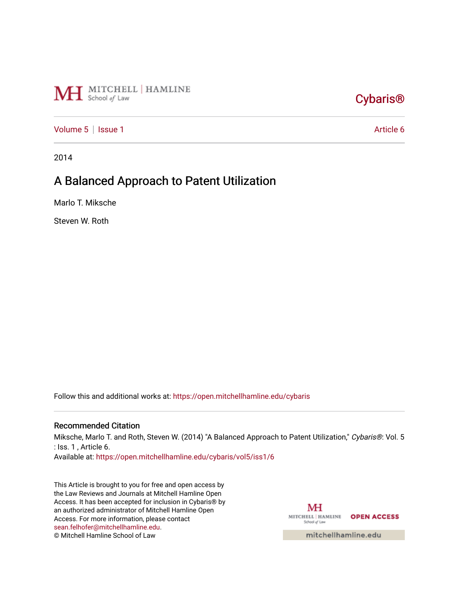

## [Cybaris®](https://open.mitchellhamline.edu/cybaris)

[Volume 5](https://open.mitchellhamline.edu/cybaris/vol5) | [Issue 1](https://open.mitchellhamline.edu/cybaris/vol5/iss1) Article 6

2014

## A Balanced Approach to Patent Utilization

Marlo T. Miksche

Steven W. Roth

Follow this and additional works at: [https://open.mitchellhamline.edu/cybaris](https://open.mitchellhamline.edu/cybaris?utm_source=open.mitchellhamline.edu%2Fcybaris%2Fvol5%2Fiss1%2F6&utm_medium=PDF&utm_campaign=PDFCoverPages) 

#### Recommended Citation

Miksche, Marlo T. and Roth, Steven W. (2014) "A Balanced Approach to Patent Utilization," Cybaris®: Vol. 5 : Iss. 1 , Article 6.

Available at: [https://open.mitchellhamline.edu/cybaris/vol5/iss1/6](https://open.mitchellhamline.edu/cybaris/vol5/iss1/6?utm_source=open.mitchellhamline.edu%2Fcybaris%2Fvol5%2Fiss1%2F6&utm_medium=PDF&utm_campaign=PDFCoverPages)

This Article is brought to you for free and open access by the Law Reviews and Journals at Mitchell Hamline Open Access. It has been accepted for inclusion in Cybaris® by an authorized administrator of Mitchell Hamline Open Access. For more information, please contact [sean.felhofer@mitchellhamline.edu](mailto:sean.felhofer@mitchellhamline.edu). © Mitchell Hamline School of Law

MH MITCHELL | HAMLINE OPEN ACCESS School of Law

mitchellhamline.edu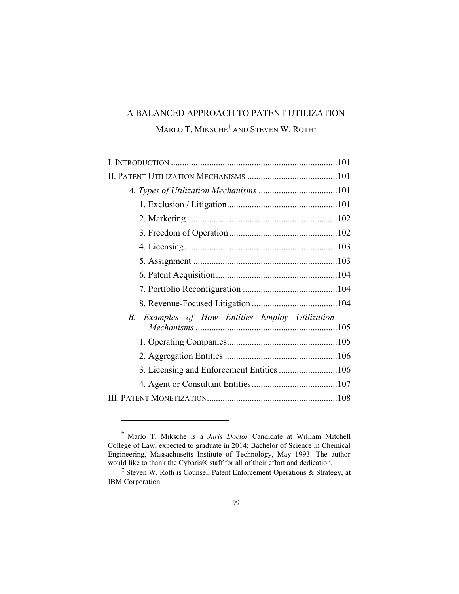# A BALANCED APPROACH TO PATENT UTILIZATION MARLO T. MIKSCHE† AND STEVEN W. ROTH‡

| Examples of How Entities Employ Utilization<br>$B_{\cdot}$ |  |
|------------------------------------------------------------|--|
|                                                            |  |
|                                                            |  |
|                                                            |  |
|                                                            |  |
|                                                            |  |
|                                                            |  |

<sup>†</sup> Marlo T. Miksche is a *Juris Doctor* Candidate at William Mitchell College of Law, expected to graduate in 2014; Bachelor of Science in Chemical Engineering, Massachusetts Institute of Technology, May 1993. The author would like to thank the Cybaris® staff for all of their effort and dedication.

<sup>‡</sup> Steven W. Roth is Counsel, Patent Enforcement Operations & Strategy, at IBM Corporation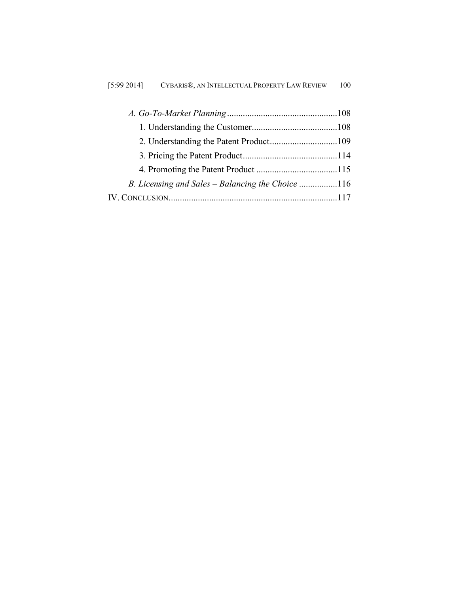| [5:99 2014]<br>CYBARIS®, AN INTELLECTUAL PROPERTY LAW REVIEW | 100 |
|--------------------------------------------------------------|-----|
|--------------------------------------------------------------|-----|

| B. Licensing and Sales – Balancing the Choice 116 |  |
|---------------------------------------------------|--|
|                                                   |  |
|                                                   |  |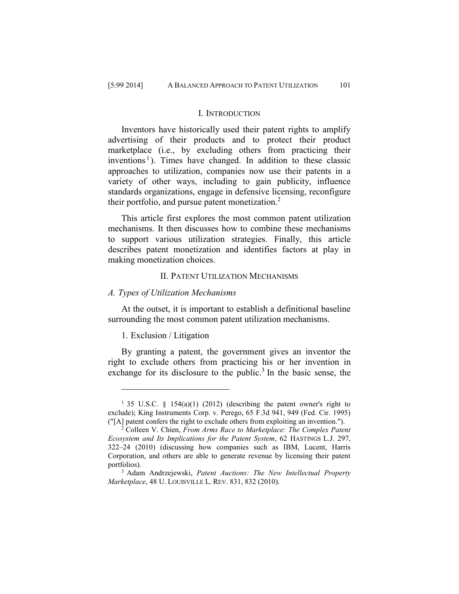#### I. INTRODUCTION

Inventors have historically used their patent rights to amplify advertising of their products and to protect their product marketplace (i.e., by excluding others from practicing their inventions<sup>1</sup>). Times have changed. In addition to these classic approaches to utilization, companies now use their patents in a variety of other ways, including to gain publicity, influence standards organizations, engage in defensive licensing, reconfigure their portfolio, and pursue patent monetization.<sup>2</sup>

This article first explores the most common patent utilization mechanisms. It then discusses how to combine these mechanisms to support various utilization strategies. Finally, this article describes patent monetization and identifies factors at play in making monetization choices.

#### II. PATENT UTILIZATION MECHANISMS

#### *A. Types of Utilization Mechanisms*

At the outset, it is important to establish a definitional baseline surrounding the most common patent utilization mechanisms.

#### 1. Exclusion / Litigation

 $\overline{a}$ 

By granting a patent, the government gives an inventor the right to exclude others from practicing his or her invention in exchange for its disclosure to the public.<sup>3</sup> In the basic sense, the

<sup>&</sup>lt;sup>1</sup> 35 U.S.C. § 154(a)(1) (2012) (describing the patent owner's right to exclude); King Instruments Corp. v. Perego, 65 F.3d 941, 949 (Fed. Cir. 1995) ("[A] patent confers the right to exclude others from exploiting an invention.").

<sup>2</sup> Colleen V. Chien, *From Arms Race to Marketplace: The Complex Patent Ecosystem and Its Implications for the Patent System*, 62 HASTINGS L.J. 297, 322–24 (2010) (discussing how companies such as IBM, Lucent, Harris Corporation, and others are able to generate revenue by licensing their patent portfolios).

<sup>3</sup> Adam Andrzejewski, *Patent Auctions: The New Intellectual Property Marketplace*, 48 U. LOUISVILLE L. REV. 831, 832 (2010).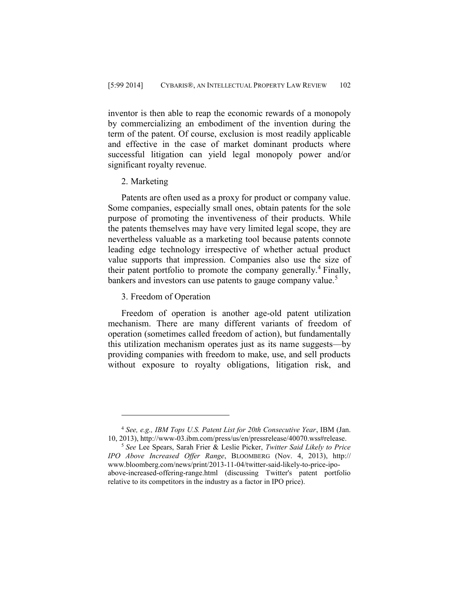inventor is then able to reap the economic rewards of a monopoly by commercializing an embodiment of the invention during the term of the patent. Of course, exclusion is most readily applicable and effective in the case of market dominant products where successful litigation can yield legal monopoly power and/or significant royalty revenue.

## 2. Marketing

Patents are often used as a proxy for product or company value. Some companies, especially small ones, obtain patents for the sole purpose of promoting the inventiveness of their products. While the patents themselves may have very limited legal scope, they are nevertheless valuable as a marketing tool because patents connote leading edge technology irrespective of whether actual product value supports that impression. Companies also use the size of their patent portfolio to promote the company generally.<sup>4</sup> Finally, bankers and investors can use patents to gauge company value.<sup>5</sup>

3. Freedom of Operation

 $\overline{a}$ 

Freedom of operation is another age-old patent utilization mechanism. There are many different variants of freedom of operation (sometimes called freedom of action), but fundamentally this utilization mechanism operates just as its name suggests—by providing companies with freedom to make, use, and sell products without exposure to royalty obligations, litigation risk, and

<sup>4</sup> *See, e.g., IBM Tops U.S. Patent List for 20th Consecutive Year*, IBM (Jan. 10, 2013), http://www-03.ibm.com/press/us/en/pressrelease/40070.wss#release.

<sup>5</sup> *See* Lee Spears, Sarah Frier & Leslie Picker, *Twitter Said Likely to Price IPO Above Increased Offer Range*, BLOOMBERG (Nov. 4, 2013), http:// www.bloomberg.com/news/print/2013-11-04/twitter-said-likely-to-price-ipoabove-increased-offering-range.html (discussing Twitter's patent portfolio relative to its competitors in the industry as a factor in IPO price).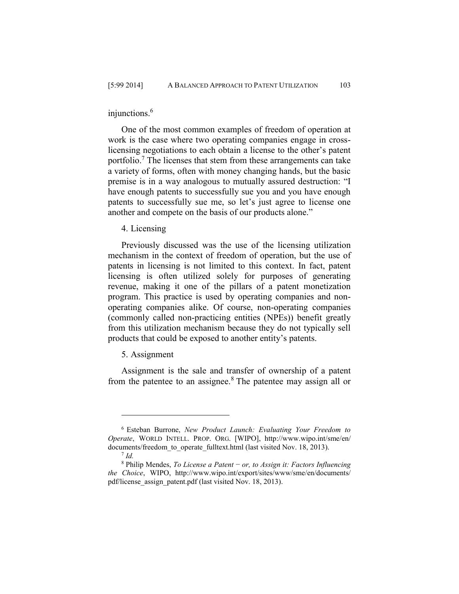## injunctions.<sup>6</sup>

One of the most common examples of freedom of operation at work is the case where two operating companies engage in crosslicensing negotiations to each obtain a license to the other's patent portfolio.<sup>7</sup> The licenses that stem from these arrangements can take a variety of forms, often with money changing hands, but the basic premise is in a way analogous to mutually assured destruction: "I have enough patents to successfully sue you and you have enough patents to successfully sue me, so let's just agree to license one another and compete on the basis of our products alone."

#### 4. Licensing

Previously discussed was the use of the licensing utilization mechanism in the context of freedom of operation, but the use of patents in licensing is not limited to this context. In fact, patent licensing is often utilized solely for purposes of generating revenue, making it one of the pillars of a patent monetization program. This practice is used by operating companies and nonoperating companies alike. Of course, non-operating companies (commonly called non-practicing entities (NPEs)) benefit greatly from this utilization mechanism because they do not typically sell products that could be exposed to another entity's patents.

### 5. Assignment

Assignment is the sale and transfer of ownership of a patent from the patentee to an assignee. $8$  The patentee may assign all or

<sup>6</sup> Esteban Burrone, *New Product Launch: Evaluating Your Freedom to Operate*, WORLD INTELL. PROP. ORG. [WIPO], http://www.wipo.int/sme/en/ documents/freedom\_to\_operate\_fulltext.html (last visited Nov. 18, 2013).

<sup>7</sup> *Id.*

<sup>8</sup> Philip Mendes, *To License a Patent* − *or, to Assign it: Factors Influencing the Choice*, WIPO, http://www.wipo.int/export/sites/www/sme/en/documents/ pdf/license\_assign\_patent.pdf (last visited Nov. 18, 2013).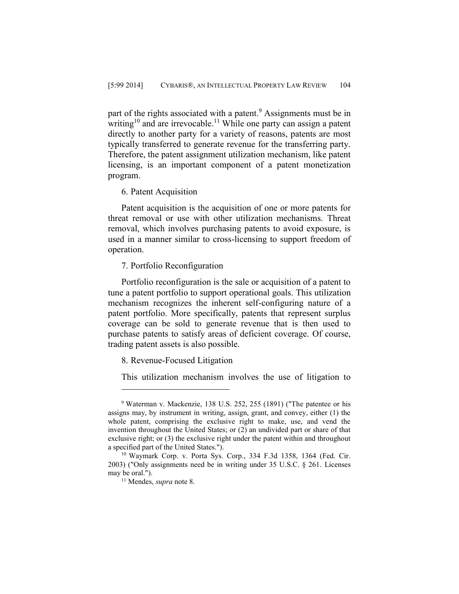part of the rights associated with a patent.<sup>9</sup> Assignments must be in writing<sup>10</sup> and are irrevocable.<sup>11</sup> While one party can assign a patent directly to another party for a variety of reasons, patents are most typically transferred to generate revenue for the transferring party. Therefore, the patent assignment utilization mechanism, like patent licensing, is an important component of a patent monetization program.

6. Patent Acquisition

Patent acquisition is the acquisition of one or more patents for threat removal or use with other utilization mechanisms. Threat removal, which involves purchasing patents to avoid exposure, is used in a manner similar to cross-licensing to support freedom of operation.

7. Portfolio Reconfiguration

Portfolio reconfiguration is the sale or acquisition of a patent to tune a patent portfolio to support operational goals. This utilization mechanism recognizes the inherent self-configuring nature of a patent portfolio. More specifically, patents that represent surplus coverage can be sold to generate revenue that is then used to purchase patents to satisfy areas of deficient coverage. Of course, trading patent assets is also possible.

8. Revenue-Focused Litigation

This utilization mechanism involves the use of litigation to

<sup>9</sup> Waterman v. Mackenzie, 138 U.S. 252, 255 (1891) ("The patentee or his assigns may, by instrument in writing, assign, grant, and convey, either (1) the whole patent, comprising the exclusive right to make, use, and vend the invention throughout the United States; or (2) an undivided part or share of that exclusive right; or (3) the exclusive right under the patent within and throughout a specified part of the United States.").

<sup>10</sup> Waymark Corp. v. Porta Sys. Corp., 334 F.3d 1358, 1364 (Fed. Cir. 2003) ("Only assignments need be in writing under 35 U.S.C. § 261. Licenses may be oral.").

<sup>11</sup> Mendes, *supra* note 8.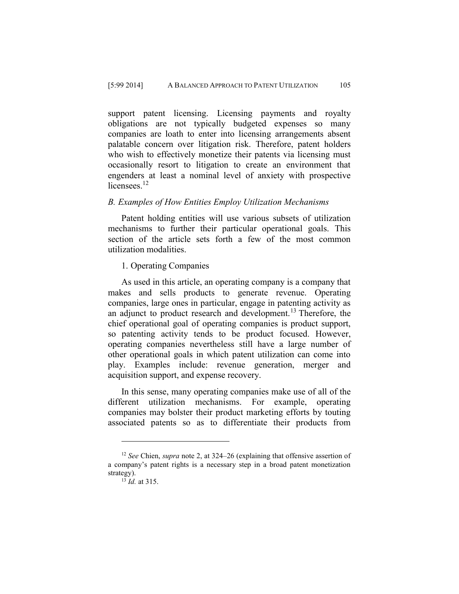support patent licensing. Licensing payments and royalty obligations are not typically budgeted expenses so many companies are loath to enter into licensing arrangements absent palatable concern over litigation risk. Therefore, patent holders who wish to effectively monetize their patents via licensing must occasionally resort to litigation to create an environment that engenders at least a nominal level of anxiety with prospective licensees<sup>12</sup>

## *B. Examples of How Entities Employ Utilization Mechanisms*

Patent holding entities will use various subsets of utilization mechanisms to further their particular operational goals. This section of the article sets forth a few of the most common utilization modalities.

### 1. Operating Companies

As used in this article, an operating company is a company that makes and sells products to generate revenue. Operating companies, large ones in particular, engage in patenting activity as an adjunct to product research and development.<sup>13</sup> Therefore, the chief operational goal of operating companies is product support, so patenting activity tends to be product focused. However, operating companies nevertheless still have a large number of other operational goals in which patent utilization can come into play. Examples include: revenue generation, merger and acquisition support, and expense recovery.

In this sense, many operating companies make use of all of the different utilization mechanisms. For example, operating companies may bolster their product marketing efforts by touting associated patents so as to differentiate their products from

<sup>12</sup> *See* Chien, *supra* note 2, at 324–26 (explaining that offensive assertion of a company's patent rights is a necessary step in a broad patent monetization strategy).

<sup>13</sup> *Id.* at 315.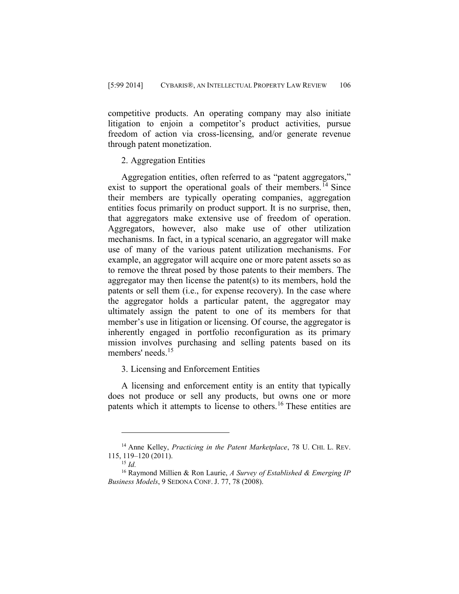competitive products. An operating company may also initiate litigation to enjoin a competitor's product activities, pursue freedom of action via cross-licensing, and/or generate revenue through patent monetization.

#### 2. Aggregation Entities

Aggregation entities, often referred to as "patent aggregators," exist to support the operational goals of their members.<sup>14</sup> Since their members are typically operating companies, aggregation entities focus primarily on product support. It is no surprise, then, that aggregators make extensive use of freedom of operation. Aggregators, however, also make use of other utilization mechanisms. In fact, in a typical scenario, an aggregator will make use of many of the various patent utilization mechanisms. For example, an aggregator will acquire one or more patent assets so as to remove the threat posed by those patents to their members. The aggregator may then license the patent(s) to its members, hold the patents or sell them (i.e., for expense recovery). In the case where the aggregator holds a particular patent, the aggregator may ultimately assign the patent to one of its members for that member's use in litigation or licensing. Of course, the aggregator is inherently engaged in portfolio reconfiguration as its primary mission involves purchasing and selling patents based on its members' needs.<sup>15</sup>

3. Licensing and Enforcement Entities

A licensing and enforcement entity is an entity that typically does not produce or sell any products, but owns one or more patents which it attempts to license to others.<sup>16</sup> These entities are

<sup>14</sup> Anne Kelley, *Practicing in the Patent Marketplace*, 78 U. CHI. L. REV. 115, 119–120 (2011).

<sup>15</sup> *Id.*

<sup>16</sup> Raymond Millien & Ron Laurie, *A Survey of Established & Emerging IP Business Models*, 9 SEDONA CONF. J. 77, 78 (2008).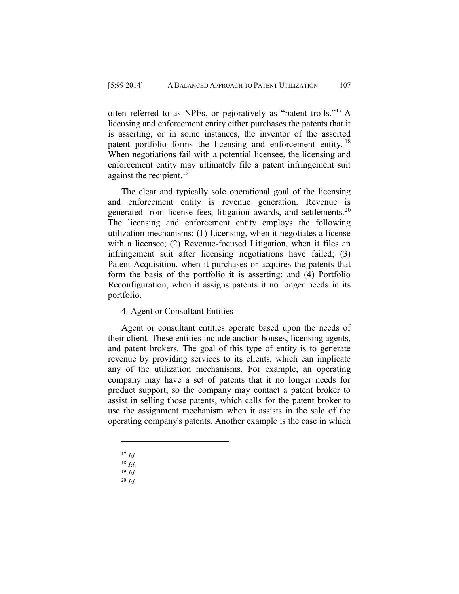often referred to as NPEs, or pejoratively as "patent trolls."<sup>17</sup> A licensing and enforcement entity either purchases the patents that it is asserting, or in some instances, the inventor of the asserted patent portfolio forms the licensing and enforcement entity.<sup>18</sup> When negotiations fail with a potential licensee, the licensing and enforcement entity may ultimately file a patent infringement suit against the recipient. $19$ 

The clear and typically sole operational goal of the licensing and enforcement entity is revenue generation. Revenue is generated from license fees, litigation awards, and settlements.<sup>20</sup> The licensing and enforcement entity employs the following utilization mechanisms: (1) Licensing, when it negotiates a license with a licensee; (2) Revenue-focused Litigation, when it files an infringement suit after licensing negotiations have failed; (3) Patent Acquisition, when it purchases or acquires the patents that form the basis of the portfolio it is asserting; and (4) Portfolio Reconfiguration, when it assigns patents it no longer needs in its portfolio.

#### 4. Agent or Consultant Entities

Agent or consultant entities operate based upon the needs of their client. These entities include auction houses, licensing agents, and patent brokers. The goal of this type of entity is to generate revenue by providing services to its clients, which can implicate any of the utilization mechanisms. For example, an operating company may have a set of patents that it no longer needs for product support, so the company may contact a patent broker to assist in selling those patents, which calls for the patent broker to use the assignment mechanism when it assists in the sale of the operating company's patents. Another example is the case in which

- <sup>17</sup> *Id.*
- <sup>18</sup> *Id.*

- <sup>19</sup> *Id.*
- <sup>20</sup> *Id.*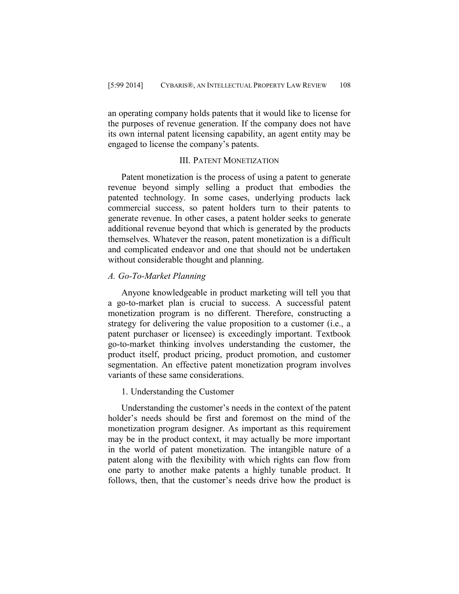an operating company holds patents that it would like to license for the purposes of revenue generation. If the company does not have its own internal patent licensing capability, an agent entity may be engaged to license the company's patents.

#### III. PATENT MONETIZATION

Patent monetization is the process of using a patent to generate revenue beyond simply selling a product that embodies the patented technology. In some cases, underlying products lack commercial success, so patent holders turn to their patents to generate revenue. In other cases, a patent holder seeks to generate additional revenue beyond that which is generated by the products themselves. Whatever the reason, patent monetization is a difficult and complicated endeavor and one that should not be undertaken without considerable thought and planning.

## *A. Go-To-Market Planning*

Anyone knowledgeable in product marketing will tell you that a go-to-market plan is crucial to success. A successful patent monetization program is no different. Therefore, constructing a strategy for delivering the value proposition to a customer (i.e., a patent purchaser or licensee) is exceedingly important. Textbook go-to-market thinking involves understanding the customer, the product itself, product pricing, product promotion, and customer segmentation. An effective patent monetization program involves variants of these same considerations.

### 1. Understanding the Customer

Understanding the customer's needs in the context of the patent holder's needs should be first and foremost on the mind of the monetization program designer. As important as this requirement may be in the product context, it may actually be more important in the world of patent monetization. The intangible nature of a patent along with the flexibility with which rights can flow from one party to another make patents a highly tunable product. It follows, then, that the customer's needs drive how the product is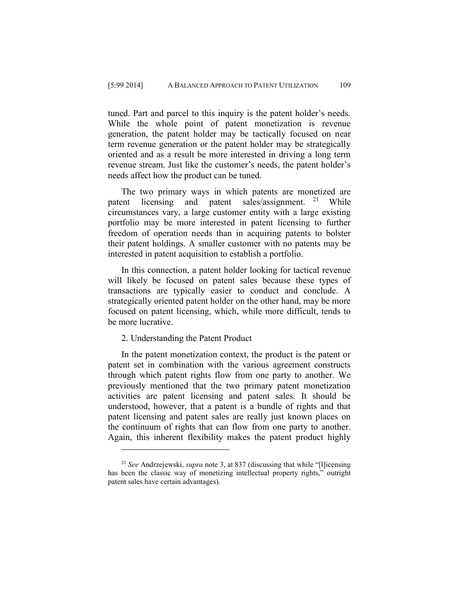tuned. Part and parcel to this inquiry is the patent holder's needs. While the whole point of patent monetization is revenue generation, the patent holder may be tactically focused on near term revenue generation or the patent holder may be strategically oriented and as a result be more interested in driving a long term revenue stream. Just like the customer's needs, the patent holder's needs affect how the product can be tuned.

The two primary ways in which patents are monetized are patent licensing and patent sales/assignment.<sup>21</sup> While circumstances vary, a large customer entity with a large existing portfolio may be more interested in patent licensing to further freedom of operation needs than in acquiring patents to bolster their patent holdings. A smaller customer with no patents may be interested in patent acquisition to establish a portfolio.

In this connection, a patent holder looking for tactical revenue will likely be focused on patent sales because these types of transactions are typically easier to conduct and conclude. A strategically oriented patent holder on the other hand, may be more focused on patent licensing, which, while more difficult, tends to be more lucrative.

## 2. Understanding the Patent Product

 $\overline{a}$ 

In the patent monetization context, the product is the patent or patent set in combination with the various agreement constructs through which patent rights flow from one party to another. We previously mentioned that the two primary patent monetization activities are patent licensing and patent sales. It should be understood, however, that a patent is a bundle of rights and that patent licensing and patent sales are really just known places on the continuum of rights that can flow from one party to another. Again, this inherent flexibility makes the patent product highly

<sup>21</sup> *See* Andrzejewski, *supra* note 3, at 837 (discussing that while "[l]icensing has been the classic way of monetizing intellectual property rights," outright patent sales have certain advantages).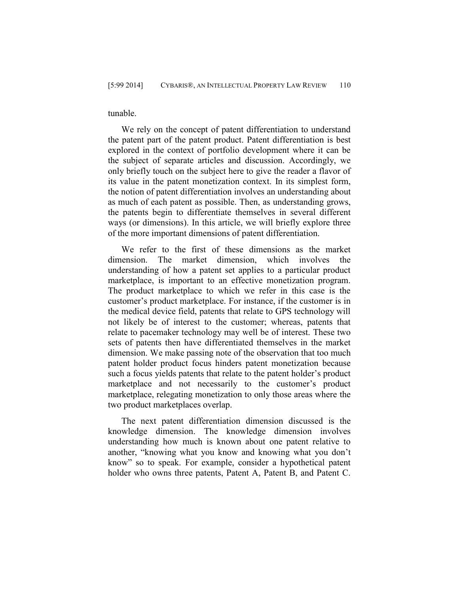#### tunable.

We rely on the concept of patent differentiation to understand the patent part of the patent product. Patent differentiation is best explored in the context of portfolio development where it can be the subject of separate articles and discussion. Accordingly, we only briefly touch on the subject here to give the reader a flavor of its value in the patent monetization context. In its simplest form, the notion of patent differentiation involves an understanding about as much of each patent as possible. Then, as understanding grows, the patents begin to differentiate themselves in several different ways (or dimensions). In this article, we will briefly explore three of the more important dimensions of patent differentiation.

We refer to the first of these dimensions as the market dimension. The market dimension, which involves the understanding of how a patent set applies to a particular product marketplace, is important to an effective monetization program. The product marketplace to which we refer in this case is the customer's product marketplace. For instance, if the customer is in the medical device field, patents that relate to GPS technology will not likely be of interest to the customer; whereas, patents that relate to pacemaker technology may well be of interest. These two sets of patents then have differentiated themselves in the market dimension. We make passing note of the observation that too much patent holder product focus hinders patent monetization because such a focus yields patents that relate to the patent holder's product marketplace and not necessarily to the customer's product marketplace, relegating monetization to only those areas where the two product marketplaces overlap.

The next patent differentiation dimension discussed is the knowledge dimension. The knowledge dimension involves understanding how much is known about one patent relative to another, "knowing what you know and knowing what you don't know" so to speak. For example, consider a hypothetical patent holder who owns three patents, Patent A, Patent B, and Patent C.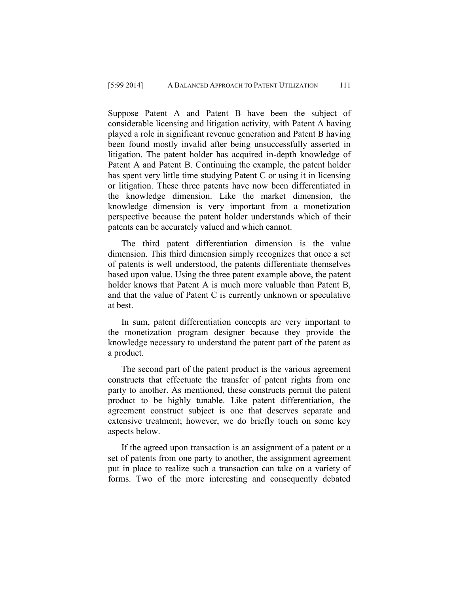Suppose Patent A and Patent B have been the subject of considerable licensing and litigation activity, with Patent A having played a role in significant revenue generation and Patent B having been found mostly invalid after being unsuccessfully asserted in litigation. The patent holder has acquired in-depth knowledge of Patent A and Patent B. Continuing the example, the patent holder has spent very little time studying Patent C or using it in licensing or litigation. These three patents have now been differentiated in the knowledge dimension. Like the market dimension, the knowledge dimension is very important from a monetization perspective because the patent holder understands which of their patents can be accurately valued and which cannot.

The third patent differentiation dimension is the value dimension. This third dimension simply recognizes that once a set of patents is well understood, the patents differentiate themselves based upon value. Using the three patent example above, the patent holder knows that Patent A is much more valuable than Patent B, and that the value of Patent C is currently unknown or speculative at best.

In sum, patent differentiation concepts are very important to the monetization program designer because they provide the knowledge necessary to understand the patent part of the patent as a product.

The second part of the patent product is the various agreement constructs that effectuate the transfer of patent rights from one party to another. As mentioned, these constructs permit the patent product to be highly tunable. Like patent differentiation, the agreement construct subject is one that deserves separate and extensive treatment; however, we do briefly touch on some key aspects below.

If the agreed upon transaction is an assignment of a patent or a set of patents from one party to another, the assignment agreement put in place to realize such a transaction can take on a variety of forms. Two of the more interesting and consequently debated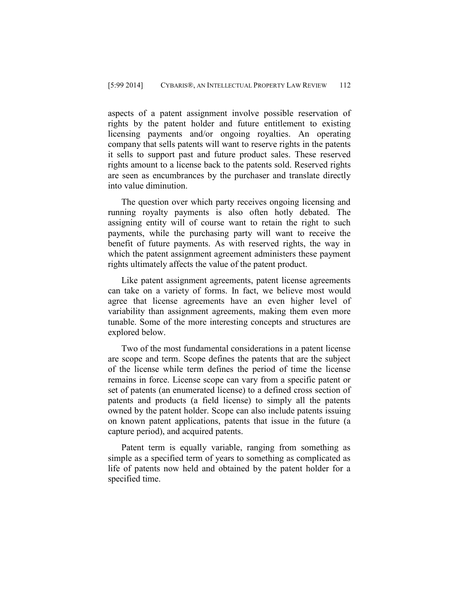aspects of a patent assignment involve possible reservation of rights by the patent holder and future entitlement to existing licensing payments and/or ongoing royalties. An operating company that sells patents will want to reserve rights in the patents it sells to support past and future product sales. These reserved rights amount to a license back to the patents sold. Reserved rights are seen as encumbrances by the purchaser and translate directly into value diminution.

The question over which party receives ongoing licensing and running royalty payments is also often hotly debated. The assigning entity will of course want to retain the right to such payments, while the purchasing party will want to receive the benefit of future payments. As with reserved rights, the way in which the patent assignment agreement administers these payment rights ultimately affects the value of the patent product.

Like patent assignment agreements, patent license agreements can take on a variety of forms. In fact, we believe most would agree that license agreements have an even higher level of variability than assignment agreements, making them even more tunable. Some of the more interesting concepts and structures are explored below.

Two of the most fundamental considerations in a patent license are scope and term. Scope defines the patents that are the subject of the license while term defines the period of time the license remains in force. License scope can vary from a specific patent or set of patents (an enumerated license) to a defined cross section of patents and products (a field license) to simply all the patents owned by the patent holder. Scope can also include patents issuing on known patent applications, patents that issue in the future (a capture period), and acquired patents.

Patent term is equally variable, ranging from something as simple as a specified term of years to something as complicated as life of patents now held and obtained by the patent holder for a specified time.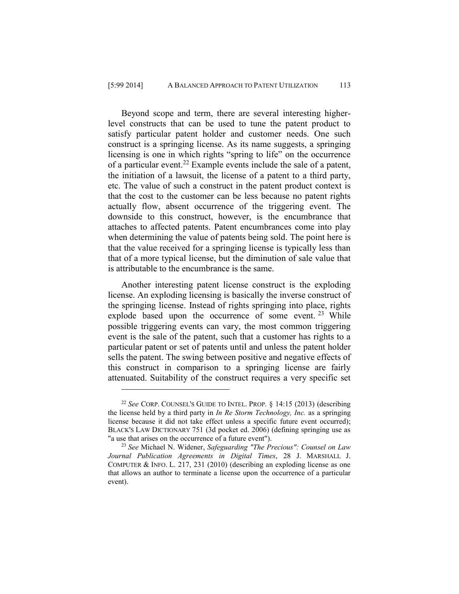Beyond scope and term, there are several interesting higherlevel constructs that can be used to tune the patent product to satisfy particular patent holder and customer needs. One such construct is a springing license. As its name suggests, a springing licensing is one in which rights "spring to life" on the occurrence of a particular event.<sup>22</sup> Example events include the sale of a patent, the initiation of a lawsuit, the license of a patent to a third party, etc. The value of such a construct in the patent product context is that the cost to the customer can be less because no patent rights actually flow, absent occurrence of the triggering event. The downside to this construct, however, is the encumbrance that attaches to affected patents. Patent encumbrances come into play when determining the value of patents being sold. The point here is that the value received for a springing license is typically less than that of a more typical license, but the diminution of sale value that is attributable to the encumbrance is the same.

Another interesting patent license construct is the exploding license. An exploding licensing is basically the inverse construct of the springing license. Instead of rights springing into place, rights explode based upon the occurrence of some event.  $23$  While possible triggering events can vary, the most common triggering event is the sale of the patent, such that a customer has rights to a particular patent or set of patents until and unless the patent holder sells the patent. The swing between positive and negative effects of this construct in comparison to a springing license are fairly attenuated. Suitability of the construct requires a very specific set

<sup>22</sup> *See* CORP. COUNSEL'S GUIDE TO INTEL. PROP. § 14:15 (2013) (describing the license held by a third party in *In Re Storm Technology, Inc.* as a springing license because it did not take effect unless a specific future event occurred); BLACK'S LAW DICTIONARY 751 (3d pocket ed. 2006) (defining springing use as "a use that arises on the occurrence of a future event").

<sup>23</sup> *See* Michael N. Widener, *Safeguarding "The Precious": Counsel on Law Journal Publication Agreements in Digital Times*, 28 J. MARSHALL J. COMPUTER & INFO. L. 217, 231 (2010) (describing an exploding license as one that allows an author to terminate a license upon the occurrence of a particular event).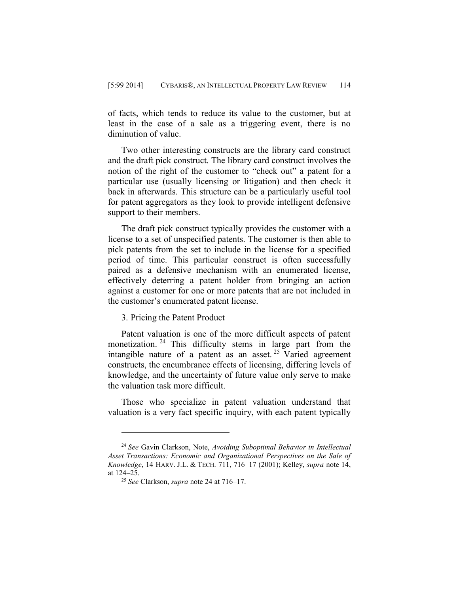of facts, which tends to reduce its value to the customer, but at least in the case of a sale as a triggering event, there is no diminution of value.

Two other interesting constructs are the library card construct and the draft pick construct. The library card construct involves the notion of the right of the customer to "check out" a patent for a particular use (usually licensing or litigation) and then check it back in afterwards. This structure can be a particularly useful tool for patent aggregators as they look to provide intelligent defensive support to their members.

The draft pick construct typically provides the customer with a license to a set of unspecified patents. The customer is then able to pick patents from the set to include in the license for a specified period of time. This particular construct is often successfully paired as a defensive mechanism with an enumerated license, effectively deterring a patent holder from bringing an action against a customer for one or more patents that are not included in the customer's enumerated patent license.

### 3. Pricing the Patent Product

Patent valuation is one of the more difficult aspects of patent monetization.<sup>24</sup> This difficulty stems in large part from the intangible nature of a patent as an asset.<sup>25</sup> Varied agreement constructs, the encumbrance effects of licensing, differing levels of knowledge, and the uncertainty of future value only serve to make the valuation task more difficult.

Those who specialize in patent valuation understand that valuation is a very fact specific inquiry, with each patent typically

<sup>24</sup> *See* Gavin Clarkson, Note, *Avoiding Suboptimal Behavior in Intellectual Asset Transactions: Economic and Organizational Perspectives on the Sale of Knowledge*, 14 HARV. J.L. & TECH. 711, 716–17 (2001); Kelley, *supra* note 14, at 124–25.

<sup>25</sup> *See* Clarkson, *supra* note 24 at 716–17.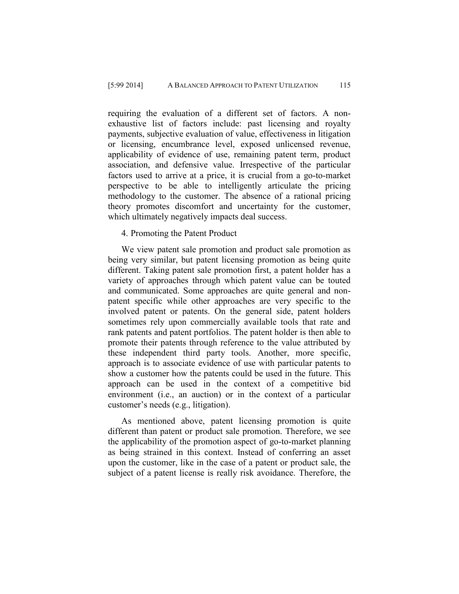requiring the evaluation of a different set of factors. A nonexhaustive list of factors include: past licensing and royalty payments, subjective evaluation of value, effectiveness in litigation or licensing, encumbrance level, exposed unlicensed revenue, applicability of evidence of use, remaining patent term, product association, and defensive value. Irrespective of the particular factors used to arrive at a price, it is crucial from a go-to-market perspective to be able to intelligently articulate the pricing methodology to the customer. The absence of a rational pricing theory promotes discomfort and uncertainty for the customer, which ultimately negatively impacts deal success.

## 4. Promoting the Patent Product

We view patent sale promotion and product sale promotion as being very similar, but patent licensing promotion as being quite different. Taking patent sale promotion first, a patent holder has a variety of approaches through which patent value can be touted and communicated. Some approaches are quite general and nonpatent specific while other approaches are very specific to the involved patent or patents. On the general side, patent holders sometimes rely upon commercially available tools that rate and rank patents and patent portfolios. The patent holder is then able to promote their patents through reference to the value attributed by these independent third party tools. Another, more specific, approach is to associate evidence of use with particular patents to show a customer how the patents could be used in the future. This approach can be used in the context of a competitive bid environment (i.e., an auction) or in the context of a particular customer's needs (e.g., litigation).

As mentioned above, patent licensing promotion is quite different than patent or product sale promotion. Therefore, we see the applicability of the promotion aspect of go-to-market planning as being strained in this context. Instead of conferring an asset upon the customer, like in the case of a patent or product sale, the subject of a patent license is really risk avoidance. Therefore, the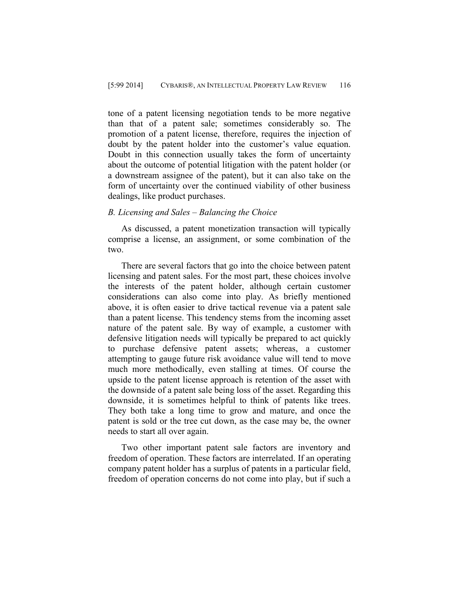tone of a patent licensing negotiation tends to be more negative than that of a patent sale; sometimes considerably so. The promotion of a patent license, therefore, requires the injection of doubt by the patent holder into the customer's value equation. Doubt in this connection usually takes the form of uncertainty about the outcome of potential litigation with the patent holder (or a downstream assignee of the patent), but it can also take on the form of uncertainty over the continued viability of other business dealings, like product purchases.

#### *B. Licensing and Sales – Balancing the Choice*

As discussed, a patent monetization transaction will typically comprise a license, an assignment, or some combination of the two.

There are several factors that go into the choice between patent licensing and patent sales. For the most part, these choices involve the interests of the patent holder, although certain customer considerations can also come into play. As briefly mentioned above, it is often easier to drive tactical revenue via a patent sale than a patent license. This tendency stems from the incoming asset nature of the patent sale. By way of example, a customer with defensive litigation needs will typically be prepared to act quickly to purchase defensive patent assets; whereas, a customer attempting to gauge future risk avoidance value will tend to move much more methodically, even stalling at times. Of course the upside to the patent license approach is retention of the asset with the downside of a patent sale being loss of the asset. Regarding this downside, it is sometimes helpful to think of patents like trees. They both take a long time to grow and mature, and once the patent is sold or the tree cut down, as the case may be, the owner needs to start all over again.

Two other important patent sale factors are inventory and freedom of operation. These factors are interrelated. If an operating company patent holder has a surplus of patents in a particular field, freedom of operation concerns do not come into play, but if such a